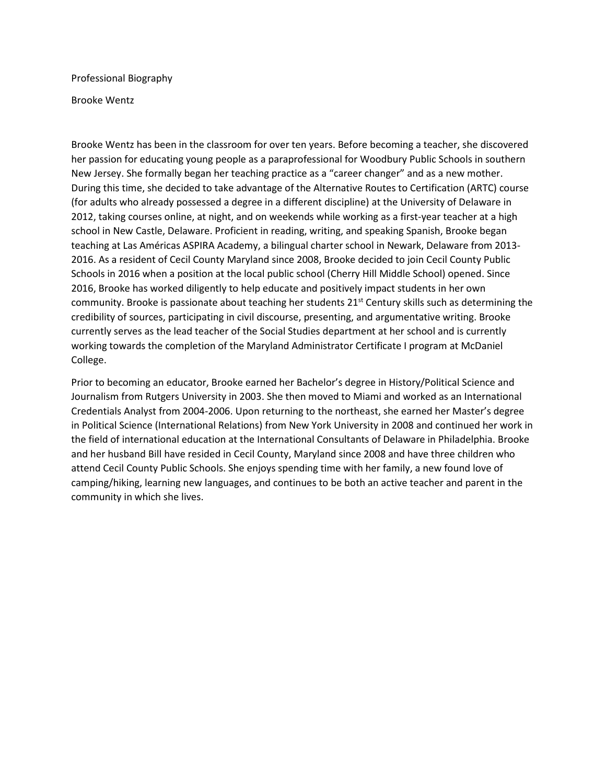Professional Biography

Brooke Wentz

Brooke Wentz has been in the classroom for over ten years. Before becoming a teacher, she discovered her passion for educating young people as a paraprofessional for Woodbury Public Schools in southern New Jersey. She formally began her teaching practice as a "career changer" and as a new mother. During this time, she decided to take advantage of the Alternative Routes to Certification (ARTC) course (for adults who already possessed a degree in a different discipline) at the University of Delaware in 2012, taking courses online, at night, and on weekends while working as a first-year teacher at a high school in New Castle, Delaware. Proficient in reading, writing, and speaking Spanish, Brooke began teaching at Las Américas ASPIRA Academy, a bilingual charter school in Newark, Delaware from 2013- 2016. As a resident of Cecil County Maryland since 2008, Brooke decided to join Cecil County Public Schools in 2016 when a position at the local public school (Cherry Hill Middle School) opened. Since 2016, Brooke has worked diligently to help educate and positively impact students in her own community. Brooke is passionate about teaching her students 21<sup>st</sup> Century skills such as determining the credibility of sources, participating in civil discourse, presenting, and argumentative writing. Brooke currently serves as the lead teacher of the Social Studies department at her school and is currently working towards the completion of the Maryland Administrator Certificate I program at McDaniel College.

Prior to becoming an educator, Brooke earned her Bachelor's degree in History/Political Science and Journalism from Rutgers University in 2003. She then moved to Miami and worked as an International Credentials Analyst from 2004-2006. Upon returning to the northeast, she earned her Master's degree in Political Science (International Relations) from New York University in 2008 and continued her work in the field of international education at the International Consultants of Delaware in Philadelphia. Brooke and her husband Bill have resided in Cecil County, Maryland since 2008 and have three children who attend Cecil County Public Schools. She enjoys spending time with her family, a new found love of camping/hiking, learning new languages, and continues to be both an active teacher and parent in the community in which she lives.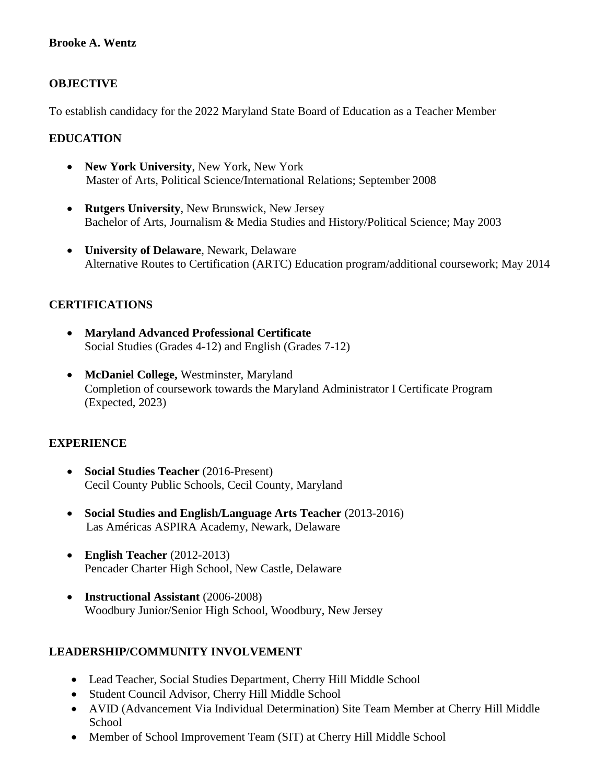# **Brooke A. Wentz**

# **OBJECTIVE**

To establish candidacy for the 2022 Maryland State Board of Education as a Teacher Member

#### **EDUCATION**

- **New York University**, New York, New York Master of Arts, Political Science/International Relations; September 2008
- **Rutgers University**, New Brunswick, New Jersey Bachelor of Arts, Journalism & Media Studies and History/Political Science; May 2003
- **University of Delaware**, Newark, Delaware Alternative Routes to Certification (ARTC) Education program/additional coursework; May 2014

# **CERTIFICATIONS**

- **Maryland Advanced Professional Certificate** Social Studies (Grades 4-12) and English (Grades 7-12)
- **McDaniel College,** Westminster, Maryland Completion of coursework towards the Maryland Administrator I Certificate Program (Expected, 2023)

#### **EXPERIENCE**

- **Social Studies Teacher** (2016-Present) Cecil County Public Schools, Cecil County, Maryland
- **Social Studies and English/Language Arts Teacher** (2013-2016) Las Américas ASPIRA Academy, Newark, Delaware
- **English Teacher** (2012-2013) Pencader Charter High School, New Castle, Delaware
- **Instructional Assistant** (2006-2008) Woodbury Junior/Senior High School, Woodbury, New Jersey

#### **LEADERSHIP/COMMUNITY INVOLVEMENT**

- Lead Teacher, Social Studies Department, Cherry Hill Middle School
- Student Council Advisor, Cherry Hill Middle School
- AVID (Advancement Via Individual Determination) Site Team Member at Cherry Hill Middle **School**
- Member of School Improvement Team (SIT) at Cherry Hill Middle School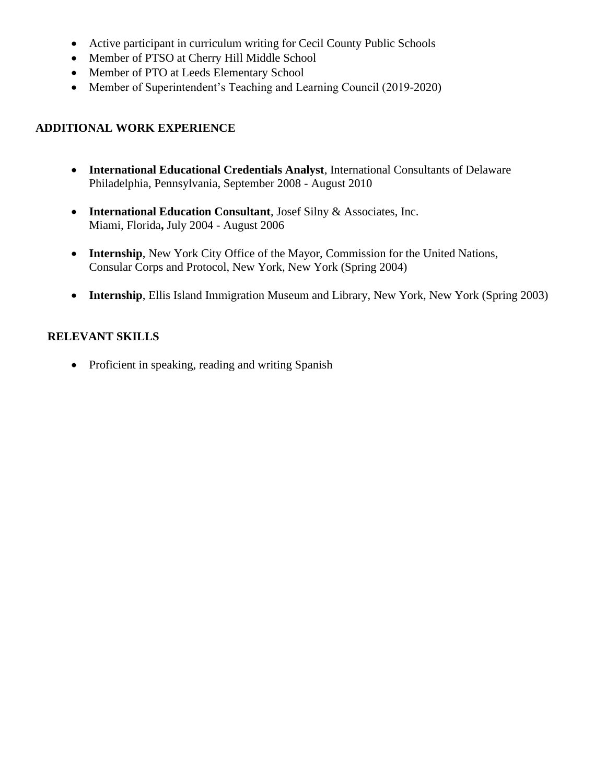- Active participant in curriculum writing for Cecil County Public Schools
- Member of PTSO at Cherry Hill Middle School
- Member of PTO at Leeds Elementary School
- Member of Superintendent's Teaching and Learning Council (2019-2020)

# **ADDITIONAL WORK EXPERIENCE**

- **International Educational Credentials Analyst**, International Consultants of Delaware Philadelphia, Pennsylvania, September 2008 - August 2010
- **International Education Consultant**, Josef Silny & Associates, Inc. Miami, Florida**,** July 2004 - August 2006
- **Internship**, New York City Office of the Mayor, Commission for the United Nations, Consular Corps and Protocol, New York, New York (Spring 2004)
- **Internship**, Ellis Island Immigration Museum and Library, New York, New York (Spring 2003)

#### **RELEVANT SKILLS**

• Proficient in speaking, reading and writing Spanish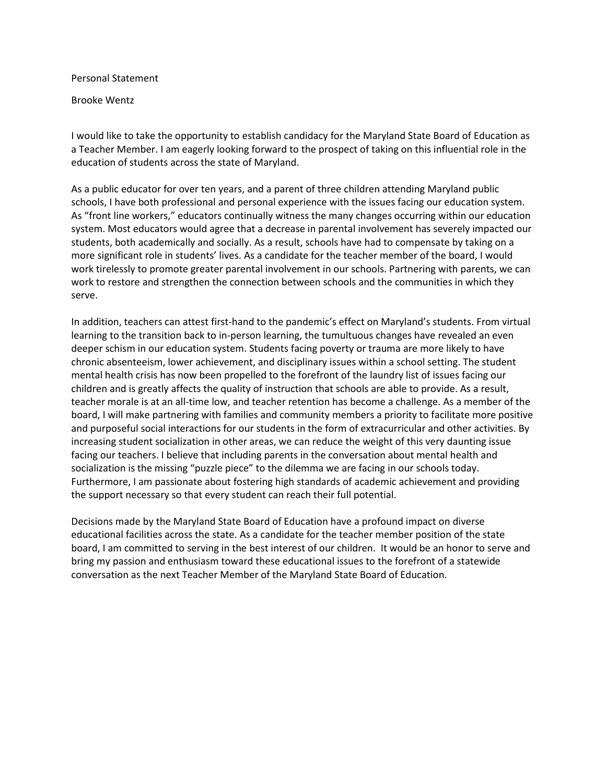Personal Statement

Brooke Wentz

I would like to take the opportunity to establish candidacy for the Maryland State Board of Education as a Teacher Member. I am eagerly looking forward to the prospect of taking on this influential role in the education of students across the state of Maryland.

As a public educator for over ten years, and a parent of three children attending Maryland public schools, I have both professional and personal experience with the issues facing our education system. As "front line workers," educators continually witness the many changes occurring within our education system. Most educators would agree that a decrease in parental involvement has severely impacted our students, both academically and socially. As a result, schools have had to compensate by taking on a more significant role in students' lives. As a candidate for the teacher member of the board, I would work tirelessly to promote greater parental involvement in our schools. Partnering with parents, we can work to restore and strengthen the connection between schools and the communities in which they serve.

In addition, teachers can attest first-hand to the pandemic's effect on Maryland's students. From virtual learning to the transition back to in-person learning, the tumultuous changes have revealed an even deeper schism in our education system. Students facing poverty or trauma are more likely to have chronic absenteeism, lower achievement, and disciplinary issues within a school setting. The student mental health crisis has now been propelled to the forefront of the laundry list of issues facing our children and is greatly affects the quality of instruction that schools are able to provide. As a result, teacher morale is at an all-time low, and teacher retention has become a challenge. As a member of the board, I will make partnering with families and community members a priority to facilitate more positive and purposeful social interactions for our students in the form of extracurricular and other activities. By increasing student socialization in other areas, we can reduce the weight of this very daunting issue facing our teachers. I believe that including parents in the conversation about mental health and socialization is the missing "puzzle piece" to the dilemma we are facing in our schools today. Furthermore, I am passionate about fostering high standards of academic achievement and providing the support necessary so that every student can reach their full potential.

Decisions made by the Maryland State Board of Education have a profound impact on diverse educational facilities across the state. As a candidate for the teacher member position of the state board, I am committed to serving in the best interest of our children. It would be an honor to serve and bring my passion and enthusiasm toward these educational issues to the forefront of a statewide conversation as the next Teacher Member of the Maryland State Board of Education.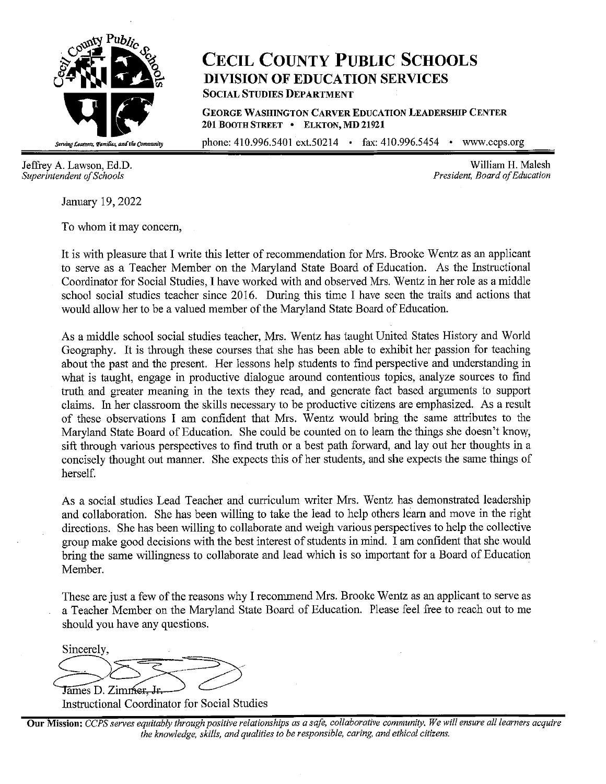

# **CECIL COUNTY PUBLIC SCHOOLS DIVISION OF EDUCATION SERVICES SOCIAL STUDIES DEPARTMENT**

**GEORGE WASHINGTON CARVER EDUCATION LEADERSHIP CENTER 201 BOOTH STREET** • **ELKTON, MD 21921** 

phone: 410.996.5401 ext.50214 • fax: 410.996.5454 • <www.ccps.org>

January 19, 2022

To whom it may concern,

It is with pleasure that I write this letter of recommendation for Mrs. Brooke Wentz as an applicant to serve as a Teacher Member on the Maryland State Board of Education. As the Instructional Coordinator for Social Studies, I have worked with and observed Mrs. Wentz in her role as a middle school social studies teacher since 2016. During this time I have seen the traits and actions that would allow her to be a valued member of the Maryland State Board of Education.

As a middle school social studies teacher, Mrs. Wentz has taught United States History and World Geography. It is through these courses that she has been able to exhibit her passion for teaching about the past and the present. Her lessons help students to find perspective and understanding in what is taught, engage in productive dialogue around contentious topics, analyze sources to find truth and greater meaning in the texts they read, and generate fact based arguments to support claims. In her classroom the skills necessary to be productive citizens are emphasized. As a result of these observations I am confident that Mrs. Wentz would bring the same attributes to the Maryland State Board of Education. She could be counted on to learn the things she doesn't know, sift through various perspectives to find truth or a best path forward, and lay out her thoughts in a concisely thought out manner. She expects this of her students, and she expects the same things of herself.

As a social studies Lead Teacher and curriculum writer Mrs. Wentz has demonstrated leadership and collaboration. She has been willing to take the lead to help others learn and move in the right directions. She has been willing to collaborate and weigh various perspectives to help the collective group make good decisions with the best interest of students in mind. I am confident that she would bring the same willingness to collaborate and lead which is so important for a Board of Education Member.

These are just a few of the reasons why I recommend Mrs. Brooke Wentz as an applicant to serve as a Teacher Member on the Maryland State Board of Education. Please feel free to reach out to me should you have any questions.

Sincerely, Sincerely,<br>
James D. Zimmer, Jr.

Instructional Coordinator for Social Studies

**Our Mission:** *CCPS serves equitably through positive relationships as a safe, collaborative community. We will ensure all learners acquire the knowledge, skills, and qualities to be responsible, caring, and ethical citizens.* 

Jeffrey A. Lawson, Ed.D.<br>Superintendent of Schools and Schools and Schools and Schools and Superintendent of Schools and Schools and Schools and Schools and Schools and Schools and Schools and Schools and Schools and Schoo *President, Board of Education*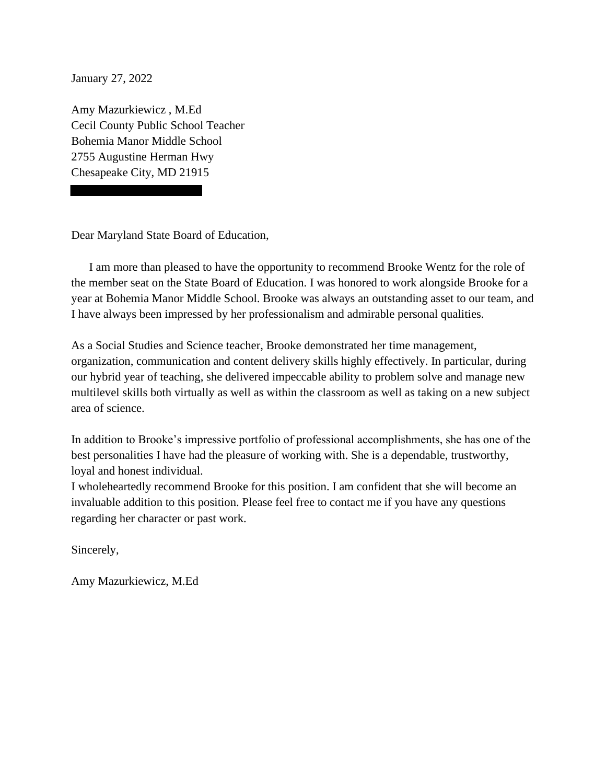January 27, 2022

Amy Mazurkiewicz , M.Ed Cecil County Public School Teacher Bohemia Manor Middle School 2755 Augustine Herman Hwy Chesapeake City, MD 21915

Dear Maryland State Board of Education,

 the member seat on the State Board of Education. I was honored to work alongside Brooke for a I am more than pleased to have the opportunity to recommend Brooke Wentz for the role of year at Bohemia Manor Middle School. Brooke was always an outstanding asset to our team, and I have always been impressed by her professionalism and admirable personal qualities.

As a Social Studies and Science teacher, Brooke demonstrated her time management, organization, communication and content delivery skills highly effectively. In particular, during our hybrid year of teaching, she delivered impeccable ability to problem solve and manage new multilevel skills both virtually as well as within the classroom as well as taking on a new subject area of science.

In addition to Brooke's impressive portfolio of professional accomplishments, she has one of the best personalities I have had the pleasure of working with. She is a dependable, trustworthy, loyal and honest individual.

I wholeheartedly recommend Brooke for this position. I am confident that she will become an invaluable addition to this position. Please feel free to contact me if you have any questions regarding her character or past work.

Sincerely,

Amy Mazurkiewicz, M.Ed